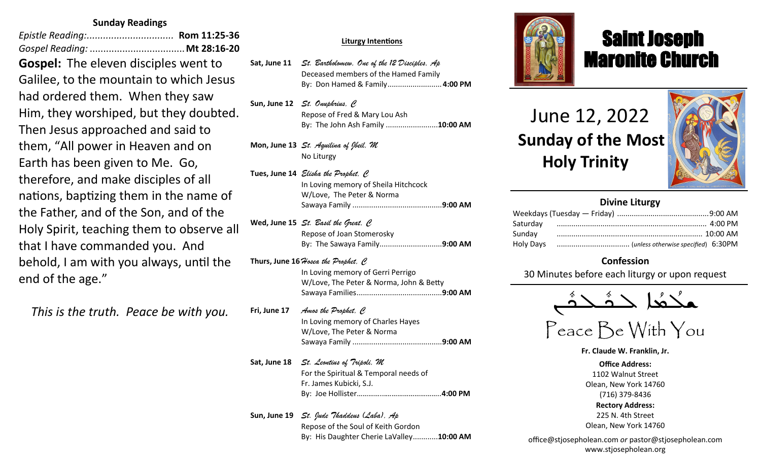## **Sunday Readings**

*Epistle Reading:................................* **Rom 11:25-36** *Gospel Reading:* ...................................**Mt 28:16-20 Gospel:** The eleven disciples went to Galilee, to the mountain to which Jesus had ordered them. When they saw Him, they worshiped, but they doubted. Then Jesus approached and said to them, "All power in Heaven and on Earth has been given to Me. Go, therefore, and make disciples of all nations, baptizing them in the name of the Father, and of the Son, and of the Holy Spirit, teaching them to observe all that I have commanded you. And behold, I am with you always, until the end of the age."

*This is the truth. Peace be with you.*

#### **Sat, Apr 9** *St. Hermas, M* **Liturgy Intentions**

Sat, June 11 *St. Bartholomew, One of the 12 Disciples, Ap* Deceased members of the Hamed Family **Sun, Apr 10** *The Miracle of the Icon of Christ in Beirut/St. Agabus, C* By: Don Hamed & Family*..........................***4:00 PM**

Sun, June 12 *St. Onuphrius, C* Repose of Fred & Mary Lou Ash **Mon, Apr 11** *St. Antipas, M* By: The John Ash Family .........................**10:00 AM**

**Reading: Heb 6:1-9; Mt 21:17-27 Mon, June 13** *St. Aquilina of Jbeil, M* **Tue, Apr 12** *Sts. Mennas, Hermogenes and Eugraphus, M* No Liturgy

**Reading: 1 Thes 2:13-17; Lk 13:22-30 Tues, June 14** *Elisha the Prophet, C* In Loving memory of Sheila Hitchcock W/Love, The Peter & Norma **Reading: Heb 2:5-12; Jn 11:47-54** Sawaya Family ...........................................**9:00 AM**

wed, June 15 *St. Basil the Great, C* **Thur, Apr 14** *Thursday of the Mysteries St. Hermenegild the King, M* Repose of Joan Stomerosky **Reading: 1 Cor 11:23-32; Jn 13:1-20** By: The Sawaya Family..............................**9:00 AM**

**Thurs, June 16**  $\mathcal H$ osea *the Prophet, C* **W/Love, The Peter & Norma, John & Betty Reading: Heb 12:12-21; Jn 19:31-37** The Intentions & Donors Sawaya Families.........................................**9:00 AM** In Loving memory of Gerri Perrigo

Fri, June 17 *Amos the Prophet, C* In Loving memory of Charles Hayes **Reading: Rom 5:1-11; Mt 27:62-66** W/Love, The Peter & Norma Repose of Albert Abdo .............................. **4:00 PM** Sawaya Family ...........................................**9:00 AM**

**Sun, Apr 17** *The Glorious Resurrection Pope St. Agapitus (+536), C* **Sat, June 18** *St. Leontius of Tripoli, M* For the Spiritual & Temporal needs of Fr. James Kubicki, S.J. By: Paul Sawaya & Family By: Joe Hollister…………...*………………………..***4:00 PM**

**Sun, June 19** *St. Jude Thaddeus (Laba), Ap* Repose of the Soul of Keith Gordon By: His Daughter Cherie LaValley............**10:00 AM**



## Saint Joseph Maronite Church

# June 12, 2022  **Sunday of the Most Holy Trinity**

ī



| <b>Divine Liturgy</b> |  |  |  |  |
|-----------------------|--|--|--|--|
|                       |  |  |  |  |
| Saturday              |  |  |  |  |
| Sunday                |  |  |  |  |
|                       |  |  |  |  |

## **Confession**

30 Minutes before each liturgy or upon request

ـܢ  $\frac{1}{2}$ ـدهٔ<br>ــدهٔ  $\frac{1}{2}$ |<br>| حدث  $\frac{1}{\sigma}$ ـدهُد 。<br>○<br>● ܫܠ

Peace Be With You

**Fr. Claude W. Franklin, Jr.**

**Office Address:** 1102 Walnut Street Olean, New York 14760 (716) 379-8436 **Rectory Address:** 225 N. 4th Street Olean, New York 14760

office@stjosepholean.com *or* pastor@stjosepholean.com www.stjosepholean.org